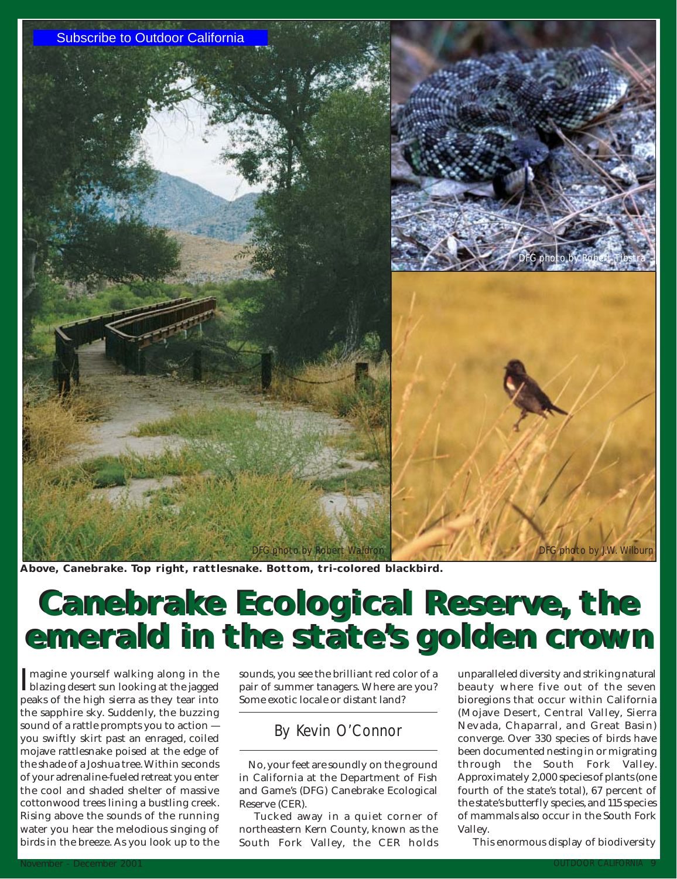

**Above, Canebrake. Top right, rattlesnake. Bottom, tri-colored blackbird.**

# **Canebrake Ecological Reserve, the Canebrake Ecological Reserve, the emerald in the state's golden crown emerald in the state's golden crown** Nove, Canebrake. Top right, rattlesnake. Bottom, tri-colored blackbird.<br>
Nove, Canebrake. Top right, rattlesnake. Bottom, tri-colored blackbird.<br>
Cancebrake. To princh the isoged pair of summer tangers where the color of a

Imagine yourself walking along in the<br>blazing desert sun looking at the jagged blazing desert sun looking at the jagged peaks of the high sierra as they tear into the sapphire sky. Suddenly, the buzzing sound of a rattle prompts you to action you swiftly skirt past an enraged, coiled mojave rattlesnake poised at the edge of the shade of a Joshua tree. Within seconds of your adrenaline-fueled retreat you enter the cool and shaded shelter of massive cottonwood trees lining a bustling creek. Rising above the sounds of the running water you hear the melodious singing of birds in the breeze. As you look up to the

sounds, you see the brilliant red color of a pair of summer tanagers. Where are you? Some exotic locale or distant land?

# *By Kevin O'Connor*

No, your feet are soundly on the ground in California at the Department of Fish and Game's (DFG) Canebrake Ecological Reserve (CER).

Tucked away in a quiet corner of northeastern Kern County, known as the South Fork Valley, the CER holds

unparalleled diversity and striking natural beauty where five out of the seven bioregions that occur within California (Mojave Desert, Central Valley, Sierra Nevada, Chaparral, and Great Basin) converge. Over 330 species of birds have been documented nesting in or migrating through the South Fork Valley. Approximately 2,000 species of plants (one fourth of the state's total), 67 percent of the state's butterfly species, and 115 species of mammals also occur in the South Fork Valley.

This enormous display of biodiversity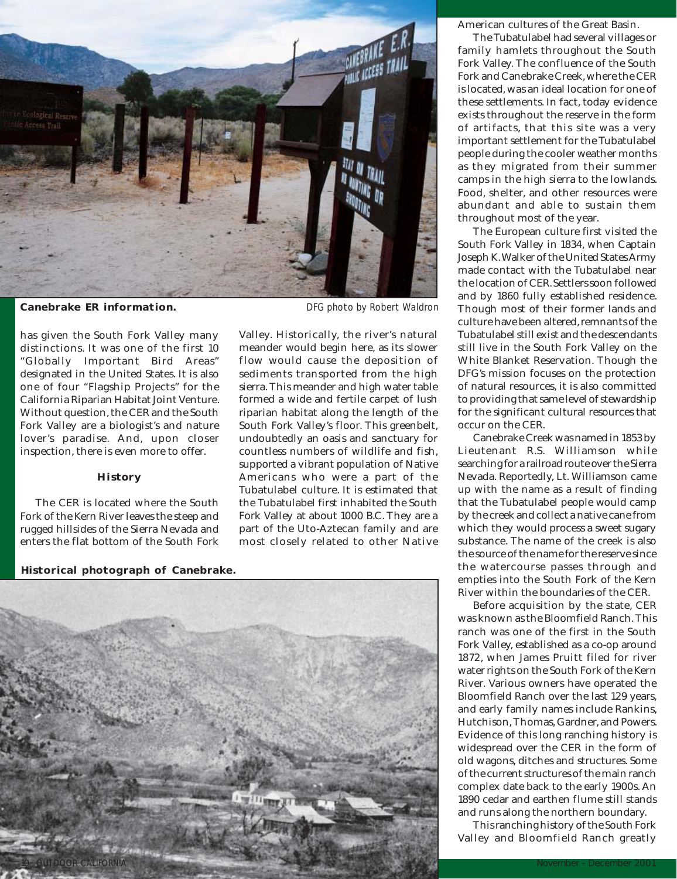

has given the South Fork Valley many distinctions. It was one of the first 10 "Globally Important Bird Areas" designated in the United States. It is also one of four "Flagship Projects" for the California Riparian Habitat Joint Venture. Without question, the CER and the South Fork Valley are a biologist's and nature lover's paradise. And, upon closer inspection, there is even more to offer.

## **History**

The CER is located where the South Fork of the Kern River leaves the steep and rugged hillsides of the Sierra Nevada and enters the flat bottom of the South Fork

*DFG photo by Robert Waldron*

Valley. Historically, the river's natural meander would begin here, as its slower flow would cause the deposition of sediments transported from the high sierra. This meander and high water table formed a wide and fertile carpet of lush riparian habitat along the length of the South Fork Valley's floor. This greenbelt, undoubtedly an oasis and sanctuary for countless numbers of wildlife and fish, supported a vibrant population of Native Americans who were a part of the Tubatulabel culture. It is estimated that the Tubatulabel first inhabited the South Fork Valley at about 1000 B.C. They are a part of the Uto-Aztecan family and are most closely related to other Native

**Historical photograph of Canebrake.**



American cultures of the Great Basin.

The Tubatulabel had several villages or family hamlets throughout the South Fork Valley. The confluence of the South Fork and Canebrake Creek, where the CER is located, was an ideal location for one of these settlements. In fact, today evidence exists throughout the reserve in the form of artifacts, that this site was a very important settlement for the Tubatulabel people during the cooler weather months as they migrated from their summer camps in the high sierra to the lowlands. Food, shelter, and other resources were abundant and able to sustain them throughout most of the year.

The European culture first visited the South Fork Valley in 1834, when Captain Joseph K. Walker of the United States Army made contact with the Tubatulabel near the location of CER. Settlers soon followed and by 1860 fully established residence. Though most of their former lands and culture have been altered, remnants of the Tubatulabel still exist and the descendants still live in the South Fork Valley on the White Blanket Reservation. Though the DFG's mission focuses on the protection of natural resources, it is also committed to providing that same level of stewardship for the significant cultural resources that occur on the CER.

Canebrake Creek was named in 1853 by Lieutenant R.S. Williamson while searching for a railroad route over the Sierra Nevada. Reportedly, Lt. Williamson came up with the name as a result of finding that the Tubatulabel people would camp by the creek and collect a native cane from which they would process a sweet sugary substance. The name of the creek is also the source of the name for the reserve since the watercourse passes through and empties into the South Fork of the Kern River within the boundaries of the CER.

Before acquisition by the state, CER was known as the Bloomfield Ranch. This ranch was one of the first in the South Fork Valley, established as a co-op around 1872, when James Pruitt filed for river water rights on the South Fork of the Kern River. Various owners have operated the Bloomfield Ranch over the last 129 years, and early family names include Rankins, Hutchison, Thomas, Gardner, and Powers. Evidence of this long ranching history is widespread over the CER in the form of old wagons, ditches and structures. Some of the current structures of the main ranch complex date back to the early 1900s. An 1890 cedar and earthen flume still stands and runs along the northern boundary.

This ranching history of the South Fork Valley and Bloomfield Ranch greatly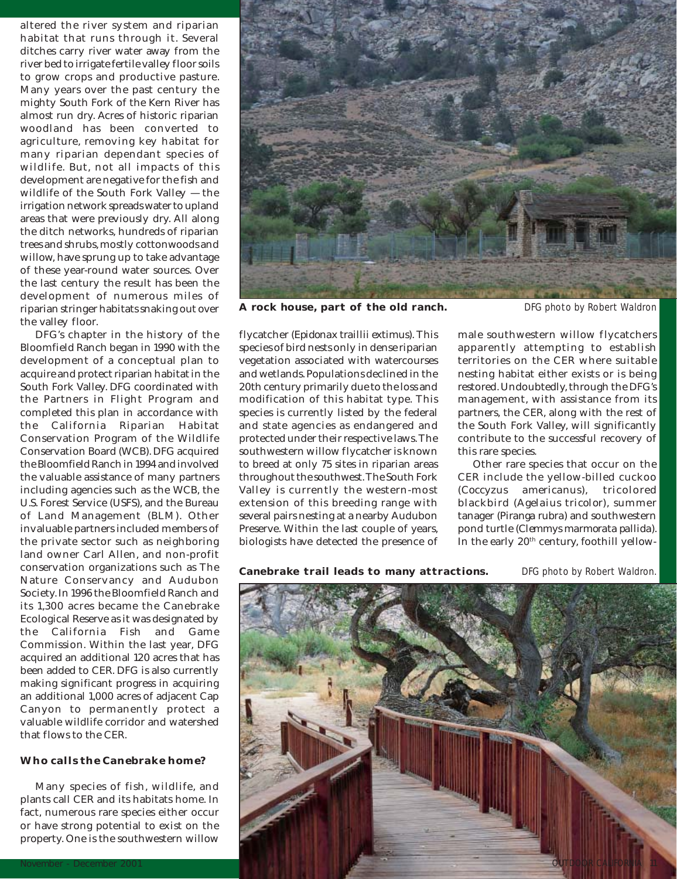altered the river system and riparian habitat that runs through it. Several ditches carry river water away from the river bed to irrigate fertile valley floor soils to grow crops and productive pasture. Many years over the past century the mighty South Fork of the Kern River has almost run dry. Acres of historic riparian woodland has been converted to agriculture, removing key habitat for many riparian dependant species of wildlife. But, not all impacts of this development are negative for the fish and wildlife of the South Fork Valley — the irrigation network spreads water to upland areas that were previously dry. All along the ditch networks, hundreds of riparian trees and shrubs, mostly cottonwoods and willow, have sprung up to take advantage of these year-round water sources. Over the last century the result has been the development of numerous miles of riparian stringer habitats snaking out over the valley floor.

DFG's chapter in the history of the Bloomfield Ranch began in 1990 with the development of a conceptual plan to acquire and protect riparian habitat in the South Fork Valley. DFG coordinated with the Partners in Flight Program and completed this plan in accordance with the California Riparian Habitat Conservation Program of the Wildlife Conservation Board (WCB). DFG acquired the Bloomfield Ranch in 1994 and involved the valuable assistance of many partners including agencies such as the WCB, the U.S. Forest Service (USFS), and the Bureau of Land Management (BLM). Other invaluable partners included members of the private sector such as neighboring land owner Carl Allen, and non-profit conservation organizations such as The Nature Conservancy and Audubon Society. In 1996 the Bloomfield Ranch and its 1,300 acres became the Canebrake Ecological Reserve as it was designated by the California Fish and Game Commission. Within the last year, DFG acquired an additional 120 acres that has been added to CER. DFG is also currently making significant progress in acquiring an additional 1,000 acres of adjacent Cap Canyon to permanently protect a valuable wildlife corridor and watershed that flows to the CER.

# **Who calls the Canebrake home?**

Many species of fish, wildlife, and plants call CER and its habitats home. In fact, numerous rare species either occur or have strong potential to exist on the property. One is the southwestern willow

flycatcher (*Epidonax traillii extimus*)*.* This species of bird nests only in dense riparian vegetation associated with watercourses and wetlands. Populations declined in the 20th century primarily due to the loss and modification of this habitat type. This species is currently listed by the federal and state agencies as endangered and protected under their respective laws. The southwestern willow flycatcher is known to breed at only 75 sites in riparian areas throughout the southwest. The South Fork Valley is currently the western-most extension of this breeding range with several pairs nesting at a nearby Audubon Preserve. Within the last couple of years, biologists have detected the presence of

male southwestern willow flycatchers apparently attempting to establish territories on the CER where suitable nesting habitat either exists or is being restored. Undoubtedly, through the DFG's management, with assistance from its partners, the CER, along with the rest of the South Fork Valley, will significantly contribute to the successful recovery of this rare species.

Other rare species that occur on the CER include the yellow-billed cuckoo (*Coccyzus americanus*), tricolored blackbird (*Agelaius tricolor*), summer tanager (*Piranga rubra*) and southwestern pond turtle (*Clemmys marmorata pallida*). In the early 20<sup>th</sup> century, foothill yellow-

**Canebrake trail leads to many attractions.**

*DFG photo by Robert Waldron.*





**A rock house, part of the old ranch.**

*DFG photo by Robert Waldron*